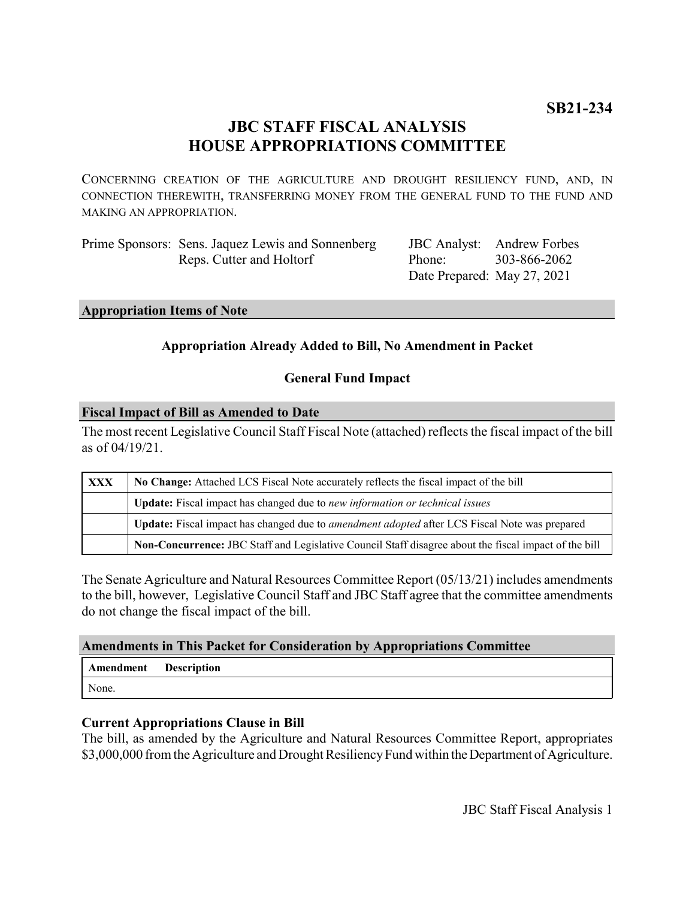# **JBC STAFF FISCAL ANALYSIS HOUSE APPROPRIATIONS COMMITTEE**

CONCERNING CREATION OF THE AGRICULTURE AND DROUGHT RESILIENCY FUND, AND, IN CONNECTION THEREWITH, TRANSFERRING MONEY FROM THE GENERAL FUND TO THE FUND AND MAKING AN APPROPRIATION.

| Prime Sponsors: Sens. Jaquez Lewis and Sonnenberg | JBC Analyst: An |                 |
|---------------------------------------------------|-----------------|-----------------|
| Reps. Cutter and Holtorf                          | Phone:          | 30 <sup>3</sup> |
|                                                   |                 |                 |

# Date Prepared: May 27, 2021 drew Forbes 3-866-2062

#### **Appropriation Items of Note**

# **Appropriation Already Added to Bill, No Amendment in Packet**

# **General Fund Impact**

#### **Fiscal Impact of Bill as Amended to Date**

The most recent Legislative Council Staff Fiscal Note (attached) reflects the fiscal impact of the bill as of 04/19/21.

| XXX | No Change: Attached LCS Fiscal Note accurately reflects the fiscal impact of the bill                 |  |
|-----|-------------------------------------------------------------------------------------------------------|--|
|     | Update: Fiscal impact has changed due to new information or technical issues                          |  |
|     | Update: Fiscal impact has changed due to <i>amendment adopted</i> after LCS Fiscal Note was prepared  |  |
|     | Non-Concurrence: JBC Staff and Legislative Council Staff disagree about the fiscal impact of the bill |  |

The Senate Agriculture and Natural Resources Committee Report (05/13/21) includes amendments to the bill, however, Legislative Council Staff and JBC Staff agree that the committee amendments do not change the fiscal impact of the bill.

#### **Amendments in This Packet for Consideration by Appropriations Committee**

| <b>Amendment</b> Description |  |
|------------------------------|--|
| None.                        |  |

#### **Current Appropriations Clause in Bill**

The bill, as amended by the Agriculture and Natural Resources Committee Report, appropriates \$3,000,000 from the Agriculture and Drought Resiliency Fund within the Department of Agriculture.